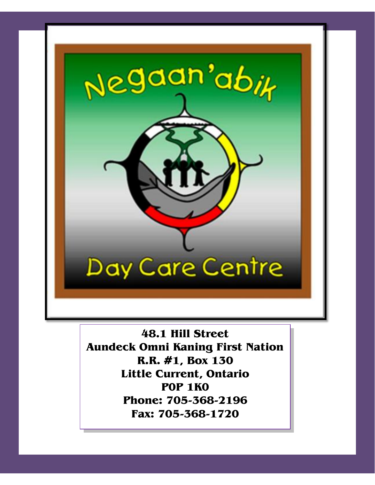

**48.1 Hill Street Aundeck Omni Kaning First Nation R.R. #1, Box 130 Little Current, Ontario P0P 1K0 Phone: 705-368-2196 Fax: 705-368-1720**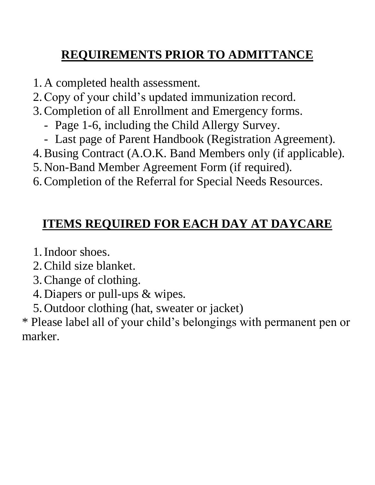# **REQUIREMENTS PRIOR TO ADMITTANCE**

- 1. A completed health assessment.
- 2.Copy of your child's updated immunization record.
- 3.Completion of all Enrollment and Emergency forms.
	- Page 1-6, including the Child Allergy Survey.
	- Last page of Parent Handbook (Registration Agreement).
- 4.Busing Contract (A.O.K. Band Members only (if applicable).
- 5. Non-Band Member Agreement Form (if required).
- 6.Completion of the Referral for Special Needs Resources.

# **ITEMS REQUIRED FOR EACH DAY AT DAYCARE**

- 1.Indoor shoes.
- 2.Child size blanket.
- 3.Change of clothing.
- 4. Diapers or pull-ups & wipes.
- 5. Outdoor clothing (hat, sweater or jacket)

\* Please label all of your child's belongings with permanent pen or marker.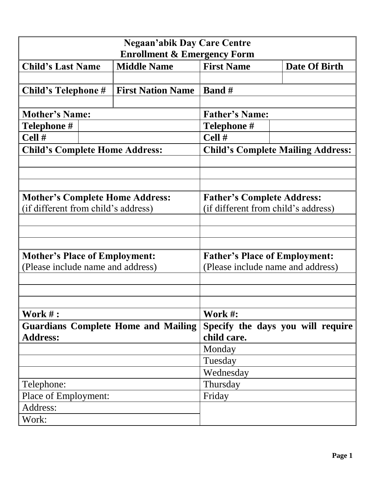| <b>Negaan'abik Day Care Centre</b>         |                                        |                                   |                                                                           |  |  |  |
|--------------------------------------------|----------------------------------------|-----------------------------------|---------------------------------------------------------------------------|--|--|--|
|                                            | <b>Enrollment &amp; Emergency Form</b> |                                   |                                                                           |  |  |  |
| <b>Child's Last Name</b>                   | <b>Middle Name</b>                     | <b>First Name</b>                 | Date Of Birth                                                             |  |  |  |
|                                            |                                        |                                   |                                                                           |  |  |  |
| Child's Telephone #                        | <b>First Nation Name</b>               | <b>Band</b> #                     |                                                                           |  |  |  |
|                                            |                                        |                                   |                                                                           |  |  |  |
| <b>Mother's Name:</b>                      |                                        | <b>Father's Name:</b>             |                                                                           |  |  |  |
| Telephone #                                |                                        | Telephone #                       |                                                                           |  |  |  |
| Cell#                                      |                                        | Cell #                            |                                                                           |  |  |  |
| <b>Child's Complete Home Address:</b>      |                                        |                                   | <b>Child's Complete Mailing Address:</b>                                  |  |  |  |
|                                            |                                        |                                   |                                                                           |  |  |  |
|                                            |                                        |                                   |                                                                           |  |  |  |
|                                            |                                        |                                   |                                                                           |  |  |  |
| <b>Mother's Complete Home Address:</b>     |                                        | <b>Father's Complete Address:</b> |                                                                           |  |  |  |
| (if different from child's address)        |                                        |                                   | (if different from child's address)                                       |  |  |  |
|                                            |                                        |                                   |                                                                           |  |  |  |
|                                            |                                        |                                   |                                                                           |  |  |  |
|                                            |                                        |                                   |                                                                           |  |  |  |
|                                            |                                        |                                   |                                                                           |  |  |  |
| <b>Mother's Place of Employment:</b>       |                                        |                                   | <b>Father's Place of Employment:</b><br>(Please include name and address) |  |  |  |
| (Please include name and address)          |                                        |                                   |                                                                           |  |  |  |
|                                            |                                        |                                   |                                                                           |  |  |  |
|                                            |                                        |                                   |                                                                           |  |  |  |
|                                            |                                        |                                   |                                                                           |  |  |  |
| Work $#$ :                                 |                                        | Work #:                           |                                                                           |  |  |  |
| <b>Guardians Complete Home and Mailing</b> |                                        |                                   | Specify the days you will require                                         |  |  |  |
| <b>Address:</b>                            |                                        | child care.                       |                                                                           |  |  |  |
|                                            |                                        | Monday                            |                                                                           |  |  |  |
|                                            |                                        | Tuesday                           |                                                                           |  |  |  |
|                                            |                                        | Wednesday                         |                                                                           |  |  |  |
| Telephone:                                 |                                        | Thursday                          |                                                                           |  |  |  |
| Place of Employment:                       |                                        | Friday                            |                                                                           |  |  |  |
| Address:                                   |                                        |                                   |                                                                           |  |  |  |
| Work:                                      |                                        |                                   |                                                                           |  |  |  |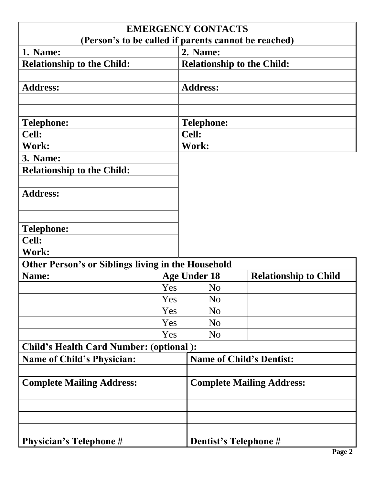| (Person's to be called if parents cannot be reached)      |          | <b>EMERGENCY CONTACTS</b>         |                                  |  |  |
|-----------------------------------------------------------|----------|-----------------------------------|----------------------------------|--|--|
| 1. Name:                                                  | 2. Name: |                                   |                                  |  |  |
| <b>Relationship to the Child:</b>                         |          | <b>Relationship to the Child:</b> |                                  |  |  |
|                                                           |          |                                   |                                  |  |  |
| <b>Address:</b>                                           |          | <b>Address:</b>                   |                                  |  |  |
|                                                           |          |                                   |                                  |  |  |
|                                                           |          |                                   |                                  |  |  |
| <b>Telephone:</b>                                         |          | <b>Telephone:</b>                 |                                  |  |  |
| <b>Cell:</b>                                              |          | Cell:                             |                                  |  |  |
| Work:                                                     |          | Work:                             |                                  |  |  |
| <b>3. Name:</b>                                           |          |                                   |                                  |  |  |
| <b>Relationship to the Child:</b>                         |          |                                   |                                  |  |  |
|                                                           |          |                                   |                                  |  |  |
| <b>Address:</b>                                           |          |                                   |                                  |  |  |
|                                                           |          |                                   |                                  |  |  |
|                                                           |          |                                   |                                  |  |  |
| <b>Telephone:</b>                                         |          |                                   |                                  |  |  |
| <b>Cell:</b>                                              |          |                                   |                                  |  |  |
| Work:                                                     |          |                                   |                                  |  |  |
| <b>Other Person's or Siblings living in the Household</b> |          |                                   |                                  |  |  |
| Name:                                                     |          | <b>Age Under 18</b>               | <b>Relationship to Child</b>     |  |  |
|                                                           | Yes      | N <sub>0</sub>                    |                                  |  |  |
|                                                           | Yes      | N <sub>o</sub>                    |                                  |  |  |
|                                                           | Yes      | N <sub>o</sub>                    |                                  |  |  |
|                                                           | Yes      | N <sub>o</sub>                    |                                  |  |  |
|                                                           | Yes      | N <sub>o</sub>                    |                                  |  |  |
| <b>Child's Health Card Number: (optional):</b>            |          |                                   |                                  |  |  |
| <b>Name of Child's Physician:</b>                         |          |                                   | <b>Name of Child's Dentist:</b>  |  |  |
|                                                           |          |                                   |                                  |  |  |
| <b>Complete Mailing Address:</b>                          |          |                                   | <b>Complete Mailing Address:</b> |  |  |
|                                                           |          |                                   |                                  |  |  |
|                                                           |          |                                   |                                  |  |  |
|                                                           |          |                                   |                                  |  |  |
|                                                           |          |                                   |                                  |  |  |
| <b>Physician's Telephone #</b>                            |          | Dentist's Telephone #             |                                  |  |  |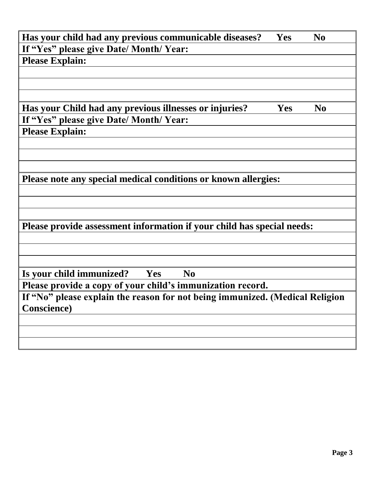| Has your child had any previous communicable diseases?                       | Yes | N <sub>0</sub> |
|------------------------------------------------------------------------------|-----|----------------|
| If "Yes" please give Date/ Month/Year:                                       |     |                |
| <b>Please Explain:</b>                                                       |     |                |
|                                                                              |     |                |
|                                                                              |     |                |
|                                                                              |     |                |
| Has your Child had any previous illnesses or injuries?                       | Yes | N <sub>0</sub> |
| If "Yes" please give Date/ Month/ Year:                                      |     |                |
| <b>Please Explain:</b>                                                       |     |                |
|                                                                              |     |                |
|                                                                              |     |                |
|                                                                              |     |                |
| Please note any special medical conditions or known allergies:               |     |                |
|                                                                              |     |                |
|                                                                              |     |                |
|                                                                              |     |                |
| Please provide assessment information if your child has special needs:       |     |                |
|                                                                              |     |                |
|                                                                              |     |                |
|                                                                              |     |                |
| Is your child immunized? Yes<br>N <sub>0</sub>                               |     |                |
| Please provide a copy of your child's immunization record.                   |     |                |
| If "No" please explain the reason for not being immunized. (Medical Religion |     |                |
| <b>Conscience</b> )                                                          |     |                |
|                                                                              |     |                |
|                                                                              |     |                |
|                                                                              |     |                |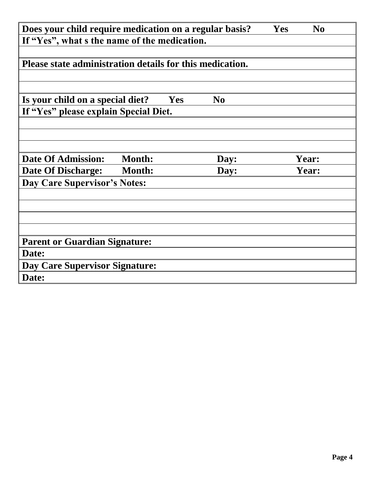| Does your child require medication on a regular basis?<br>N <sub>0</sub><br><b>Yes</b> |               |     |                |  |       |  |
|----------------------------------------------------------------------------------------|---------------|-----|----------------|--|-------|--|
| If "Yes", what s the name of the medication.                                           |               |     |                |  |       |  |
|                                                                                        |               |     |                |  |       |  |
| Please state administration details for this medication.                               |               |     |                |  |       |  |
|                                                                                        |               |     |                |  |       |  |
|                                                                                        |               |     |                |  |       |  |
| Is your child on a special diet?                                                       |               | Yes | N <sub>0</sub> |  |       |  |
| If "Yes" please explain Special Diet.                                                  |               |     |                |  |       |  |
|                                                                                        |               |     |                |  |       |  |
|                                                                                        |               |     |                |  |       |  |
|                                                                                        |               |     |                |  |       |  |
| <b>Date Of Admission:</b>                                                              | <b>Month:</b> |     | Day:           |  | Year: |  |
| <b>Date Of Discharge:</b>                                                              | <b>Month:</b> |     | Day:           |  | Year: |  |
| Day Care Supervisor's Notes:                                                           |               |     |                |  |       |  |
|                                                                                        |               |     |                |  |       |  |
|                                                                                        |               |     |                |  |       |  |
|                                                                                        |               |     |                |  |       |  |
|                                                                                        |               |     |                |  |       |  |
| <b>Parent or Guardian Signature:</b>                                                   |               |     |                |  |       |  |
| Date:                                                                                  |               |     |                |  |       |  |
| <b>Day Care Supervisor Signature:</b>                                                  |               |     |                |  |       |  |
| Date:                                                                                  |               |     |                |  |       |  |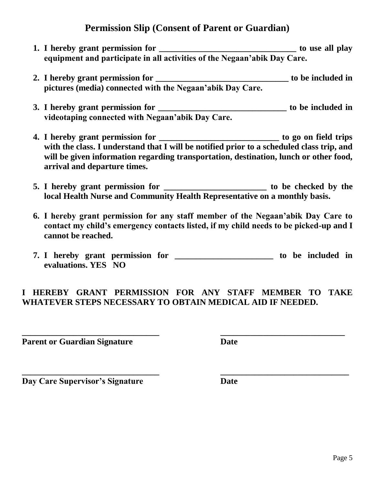# **Permission Slip (Consent of Parent or Guardian)**

- **1. I** hereby grant permission for the state of the state of the state of the state of the state of the state of the state of the state of the state of the state of the state of the state of the state of the state of the **equipment and participate in all activities of the Negaan'abik Day Care.**
- **2. I hereby grant permission for \_\_\_\_\_\_\_\_\_\_\_\_\_\_\_\_\_\_\_\_\_\_\_\_\_\_\_\_\_\_\_ to be included in pictures (media) connected with the Negaan'abik Day Care.**
- **3. I hereby grant permission for \_\_\_\_\_\_\_\_\_\_\_\_\_\_\_\_\_\_\_\_\_\_\_\_\_\_\_\_\_\_ to be included in videotaping connected with Negaan'abik Day Care.**
- **4. I hereby grant permission for \_\_\_\_\_\_\_\_\_\_\_\_\_\_\_\_\_\_\_\_\_\_\_\_\_\_\_\_ to go on field trips**  with the class. I understand that I will be notified prior to a scheduled class trip, and **will be given information regarding transportation, destination, lunch or other food, arrival and departure times.**
- **5. I hereby grant permission for \_\_\_\_\_\_\_\_\_\_\_\_\_\_\_\_\_\_\_\_\_\_\_\_ to be checked by the local Health Nurse and Community Health Representative on a monthly basis.**
- **6. I hereby grant permission for any staff member of the Negaan'abik Day Care to contact my child's emergency contacts listed, if my child needs to be picked-up and I cannot be reached.**
- **7. I hereby grant permission for \_\_\_\_\_\_\_\_\_\_\_\_\_\_\_\_\_\_\_\_\_\_\_ to be included in evaluations. YES NO**

## **I HEREBY GRANT PERMISSION FOR ANY STAFF MEMBER TO TAKE WHATEVER STEPS NECESSARY TO OBTAIN MEDICAL AID IF NEEDED.**

**\_\_\_\_\_\_\_\_\_\_\_\_\_\_\_\_\_\_\_\_\_\_\_\_\_\_\_\_\_\_\_\_ \_\_\_\_\_\_\_\_\_\_\_\_\_\_\_\_\_\_\_\_\_\_\_\_\_\_\_\_\_**

**\_\_\_\_\_\_\_\_\_\_\_\_\_\_\_\_\_\_\_\_\_\_\_\_\_\_\_\_\_\_\_\_ \_\_\_\_\_\_\_\_\_\_\_\_\_\_\_\_\_\_\_\_\_\_\_\_\_\_\_\_\_\_**

**Parent or Guardian Signature Date Date** 

**Day Care Supervisor's Signature <b>Date Date**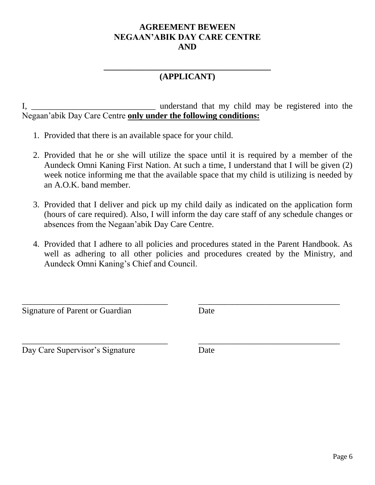#### **AGREEMENT BEWEEN NEGAAN'ABIK DAY CARE CENTRE AND**

#### **\_\_\_\_\_\_\_\_\_\_\_\_\_\_\_\_\_\_\_\_\_\_\_\_\_\_\_\_\_\_\_\_\_\_\_\_\_\_\_ (APPLICANT)**

I, \_\_\_\_\_\_\_\_\_\_\_\_\_\_\_\_\_\_\_\_\_\_\_\_\_\_\_\_\_ understand that my child may be registered into the Negaan'abik Day Care Centre **only under the following conditions:**

- 1. Provided that there is an available space for your child.
- 2. Provided that he or she will utilize the space until it is required by a member of the Aundeck Omni Kaning First Nation. At such a time, I understand that I will be given (2) week notice informing me that the available space that my child is utilizing is needed by an A.O.K. band member.
- 3. Provided that I deliver and pick up my child daily as indicated on the application form (hours of care required). Also, I will inform the day care staff of any schedule changes or absences from the Negaan'abik Day Care Centre.
- 4. Provided that I adhere to all policies and procedures stated in the Parent Handbook. As well as adhering to all other policies and procedures created by the Ministry, and Aundeck Omni Kaning's Chief and Council.

 $\overline{a}$  , and the contribution of the contribution of the contribution of the contribution of the contribution of the contribution of the contribution of the contribution of the contribution of the contribution of the co

 $\overline{a}$  , and the contribution of the contribution of the contribution of the contribution of the contribution of the contribution of the contribution of the contribution of the contribution of the contribution of the co

Signature of Parent or Guardian Date

Day Care Supervisor's Signature Date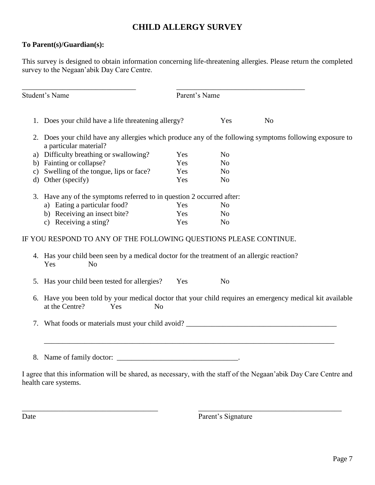#### **CHILD ALLERGY SURVEY**

#### **To Parent(s)/Guardian(s):**

This survey is designed to obtain information concerning life-threatening allergies. Please return the completed survey to the Negaan'abik Day Care Centre.

|               | <b>Student's Name</b>                                                                                                                            | Parent's Name |                |                |
|---------------|--------------------------------------------------------------------------------------------------------------------------------------------------|---------------|----------------|----------------|
|               | 1. Does your child have a life threatening allergy?                                                                                              |               | Yes            | N <sub>0</sub> |
|               | 2. Does your child have any allergies which produce any of the following symptoms following exposure to<br>a particular material?                |               |                |                |
|               | a) Difficulty breathing or swallowing?                                                                                                           | Yes           | N <sub>o</sub> |                |
| b)            | Fainting or collapse?                                                                                                                            | Yes           | N <sub>o</sub> |                |
| $\mathbf{c})$ | Swelling of the tongue, lips or face?                                                                                                            | Yes           | N <sub>o</sub> |                |
| d)            | Other (specify)                                                                                                                                  | Yes           | N <sub>o</sub> |                |
|               | 3. Have any of the symptoms referred to in question 2 occurred after:                                                                            |               |                |                |
|               | a) Eating a particular food?                                                                                                                     | Yes           | N <sub>0</sub> |                |
|               | b) Receiving an insect bite?                                                                                                                     | Yes           | N <sub>0</sub> |                |
|               | c) Receiving a sting?                                                                                                                            | Yes           | N <sub>o</sub> |                |
|               | IF YOU RESPOND TO ANY OF THE FOLLOWING QUESTIONS PLEASE CONTINUE.                                                                                |               |                |                |
|               | 4. Has your child been seen by a medical doctor for the treatment of an allergic reaction?<br>N <sub>o</sub><br>Yes                              |               |                |                |
| 5.            | Has your child been tested for allergies?                                                                                                        | Yes           | N <sub>o</sub> |                |
| 6.            | Have you been told by your medical doctor that your child requires an emergency medical kit available<br>at the Centre?<br>Yes<br>N <sub>o</sub> |               |                |                |
|               |                                                                                                                                                  |               |                |                |
|               |                                                                                                                                                  |               |                |                |

I agree that this information will be shared, as necessary, with the staff of the Negaan'abik Day Care Centre and health care systems.

\_\_\_\_\_\_\_\_\_\_\_\_\_\_\_\_\_\_\_\_\_\_\_\_\_\_\_\_\_\_\_\_\_\_\_\_\_ \_\_\_\_\_\_\_\_\_\_\_\_\_\_\_\_\_\_\_\_\_\_\_\_\_\_\_\_\_\_\_\_\_\_\_\_\_\_\_

Date Parent's Signature